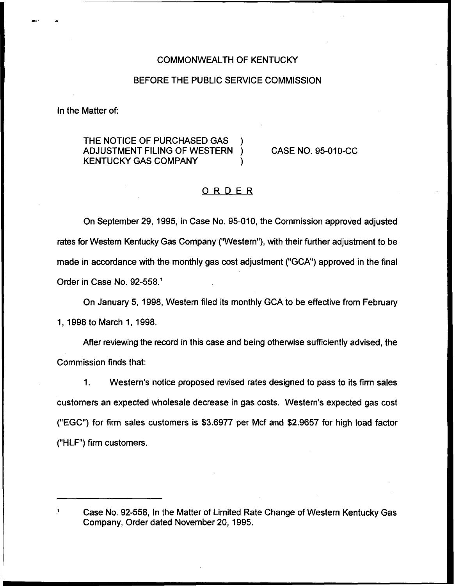## COMMONWEALTH OF KENTUCKY

### BEFORE THE PUBLIC SERVICE COMMISSION

In the Matter of:

THE NOTICE OF PURCHASED GAS ADJUSTMENT FILING OF WESTERN KENTUCKY GAS COMPANY )

CASE NO. 95-010-CC

# ORDER

On September 29, 1995, in Case No. 95-010, the Commission approved adjusted rates for Western Kentucky Gas Company ("Western"), with their further adjustment to be made in accordance with the monthly gas cost adjustment ("GCA") approved in the final Order in Case No. 92-558."

On January 5, 1998, Western filed its monthly GCA to be effective from February 1, 1998to March 1, 1998.

After reviewing the record in this case and being otherwise sufficiently advised, the Commission finds that:

1. Western's notice proposed revised rates designed to pass to its firm sales customers an expected wholesale decrease in gas costs. Western's expected gas cost ("EGC") for firm sales customers is \$3.6977 per Mcf and \$2.9657 for high load factor ("HLF") firm customers.

 $\mathbf 1$ Case No. 92-558, In the Matter of Limited Rate Change of Western Kentucky Gas Company, Order dated November 20, 1995.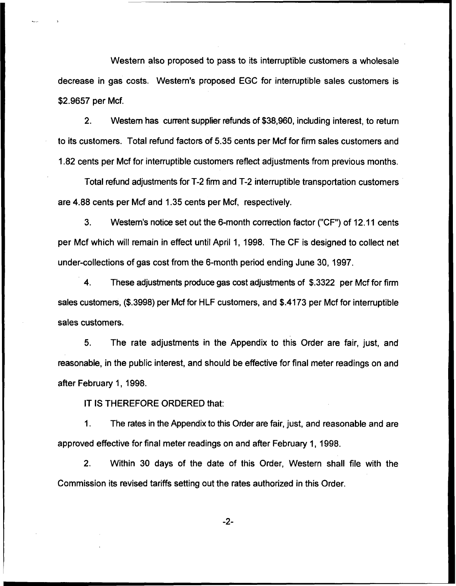Western also proposed to pass to its interruptible customers a wholesale decrease in gas costs. Western's proposed EGC for interruptible sales customers is \$2.9657 per Mcf.

2. Western has current supplier refunds of \$38,960, including interest, to return to its customers. Total refund factors of 5.35 cents per Mcf for firm sales customers and 1.82 cents per Mcf for interruptible customers reflect adjustments from previous months.

Total refund adjustments for T-2 firm and T-2 interruptible transportation customers are 4.88 cents per Mcf and 1.35 cents per Mcf, respectively.

3. Western's notice set out the 6-month correction factor ("CF") of 12.11 cents per Mcf which will remain in effect until April 1, 1998. The CF is designed to collect net under-collections of gas cost from the 6-month period ending June 30, 1997.

4. These adjustments produce gas cost adjustments of \$.3322 per Mcf for firm sales customers, (\$.3998) per Mcf for HLF customers, and \$.4173 per Mcf for interruptible sales customers.

5. The rate adjustments in the Appendix to this Order are fair, just, and reasonable, in the public interest, and should be effective for final meter readings on and after February 1, 1998.

IT IS THEREFORE ORDERED that:

 $\mathbf 1$ . The rates in the Appendix to this Order are fair, just, and reasonable and are approved effective for final meter readings on and after February 1, 1998.

2. Within 30 days of the date of this Order, Western shall file with the Commission its revised tariffs setting out the rates authorized in this Order.

 $-2-$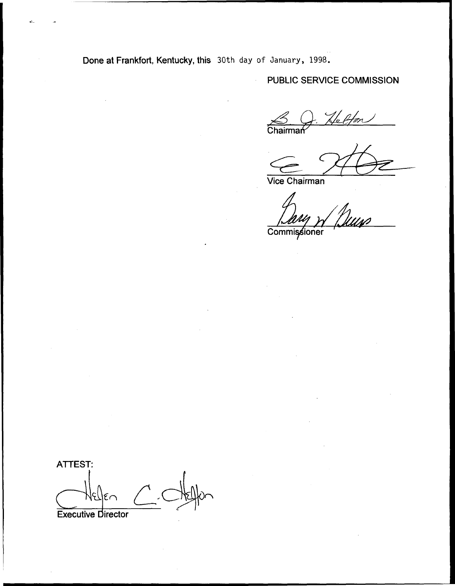Done at Frankfort, Kentucky, this 30th day of January, 1998.

 $\mathbf{r}$ 

PUBLIC SERVICE COMMISSION

Letton Chairman

Vice Chairman

Commissioner

ATTEST: Executive Director